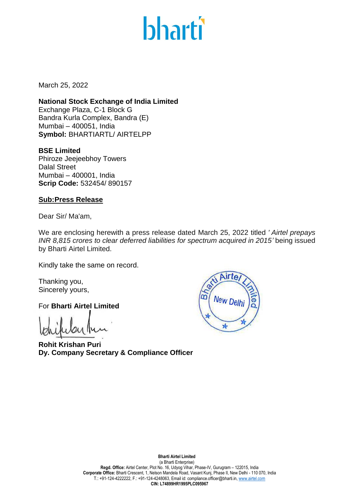## **bharti**

March 25, 2022

**National Stock Exchange of India Limited** Exchange Plaza, C-1 Block G Bandra Kurla Complex, Bandra (E) Mumbai – 400051, India **Symbol:** BHARTIARTL/ AIRTELPP

**BSE Limited** Phiroze Jeejeebhoy Towers Dalal Street Mumbai – 400001, India **Scrip Code:** 532454/ 890157

## **Sub:Press Release**

Dear Sir/ Ma'am,

We are enclosing herewith a press release dated March 25, 2022 titled *' Airtel prepays INR 8,815 crores to clear deferred liabilities for spectrum acquired in 2015'* being issued by Bharti Airtel Limited.

Kindly take the same on record.

Thanking you, Sincerely yours,

For **Bharti Airtel Limited**

**Rohit Krishan Puri Dy. Company Secretary & Compliance Officer**



**Bharti Airtel Limited**